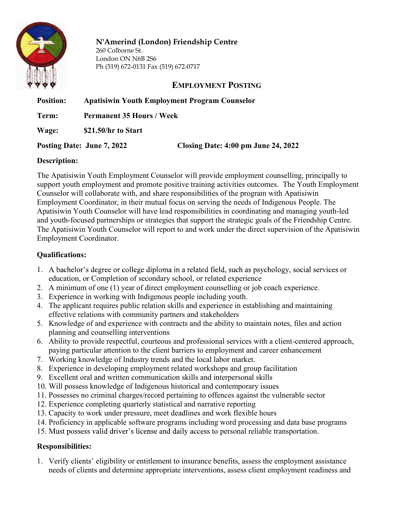

# N'Amerind (London) Friendship Centre

260 Colborne St. London ON N6B 2S6 Ph (519) 672-0131 Fax (519) 672-0717

## EMPLOYMENT POSTING

| <b>Position:</b> | <b>Apatisiwin Youth Employment Program Counselor</b> |                                                |
|------------------|------------------------------------------------------|------------------------------------------------|
| Term:            | <b>Permanent 35 Hours / Week</b>                     |                                                |
| Wage:            | \$21.50/hr to Start                                  |                                                |
|                  | Posting Date: June 7, 2022                           | Closing Date: $4:00 \text{ pm June } 24, 2022$ |

#### Description:

The Apatisiwin Youth Employment Counselor will provide employment counselling, principally to support youth employment and promote positive training activities outcomes. The Youth Employment Counselor will collaborate with, and share responsibilities of the program with Apatisiwin Employment Coordinator, in their mutual focus on serving the needs of Indigenous People. The Apatisiwin Youth Counselor will have lead responsibilities in coordinating and managing youth-led and youth-focused partnerships or strategies that support the strategic goals of the Friendship Centre. The Apatisiwin Youth Counselor will report to and work under the direct supervision of the Apatisiwin Employment Coordinator.

#### Qualifications:

- 1. A bachelor's degree or college diploma in a related field, such as psychology, social services or education, or Completion of secondary school, or related experience
- 2. A minimum of one (1) year of direct employment counselling or job coach experience.
- 3. Experience in working with Indigenous people including youth.
- 4. The applicant requires public relation skills and experience in establishing and maintaining effective relations with community partners and stakeholders
- 5. Knowledge of and experience with contracts and the ability to maintain notes, files and action planning and counselling interventions
- 6. Ability to provide respectful, courteous and professional services with a client-centered approach, paying particular attention to the client barriers to employment and career enhancement
- 7. Working knowledge of Industry trends and the local labor market.
- 8. Experience in developing employment related workshops and group facilitation
- 9. Excellent oral and written communication skills and interpersonal skills
- 10. Will possess knowledge of Indigenous historical and contemporary issues
- 11. Possesses no criminal charges/record pertaining to offences against the vulnerable sector
- 12. Experience completing quarterly statistical and narrative reporting
- 13. Capacity to work under pressure, meet deadlines and work flexible hours
- 14. Proficiency in applicable software programs including word processing and data base programs
- 15. Must possess valid driver's license and daily access to personal reliable transportation.

## Responsibilities:

1. Verify eligibility or entitlement to insurance benefits, assess the employment assistance needs of clients and determine appropriate interventions, assess client employment readiness and